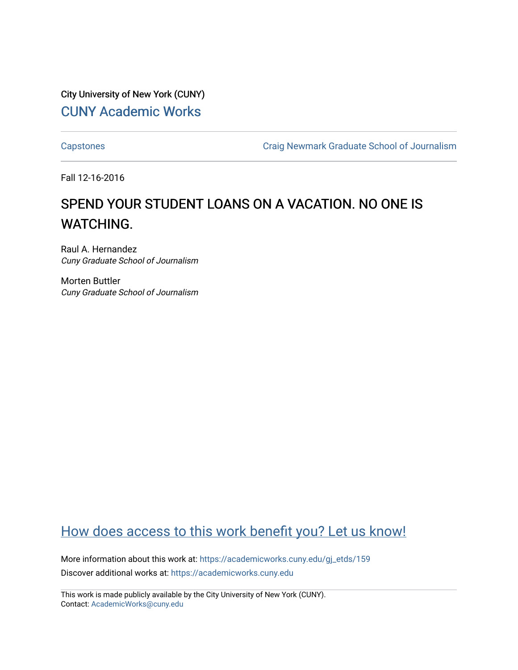City University of New York (CUNY) [CUNY Academic Works](https://academicworks.cuny.edu/) 

[Capstones](https://academicworks.cuny.edu/gj_etds) [Craig Newmark Graduate School of Journalism](https://academicworks.cuny.edu/gj) 

Fall 12-16-2016

# SPEND YOUR STUDENT LOANS ON A VACATION. NO ONE IS WATCHING.

Raul A. Hernandez Cuny Graduate School of Journalism

Morten Buttler Cuny Graduate School of Journalism

# [How does access to this work benefit you? Let us know!](http://ols.cuny.edu/academicworks/?ref=https://academicworks.cuny.edu/gj_etds/159)

More information about this work at: [https://academicworks.cuny.edu/gj\\_etds/159](https://academicworks.cuny.edu/gj_etds/159)  Discover additional works at: [https://academicworks.cuny.edu](https://academicworks.cuny.edu/?)

This work is made publicly available by the City University of New York (CUNY). Contact: [AcademicWorks@cuny.edu](mailto:AcademicWorks@cuny.edu)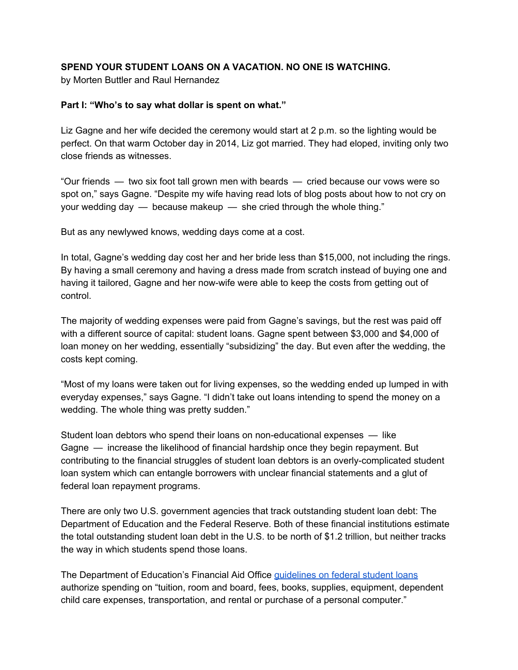# **SPEND YOUR STUDENT LOANS ON A VACATION. NO ONE IS WATCHING.**

by Morten Buttler and Raul Hernandez

#### **Part I: "Who's to say what dollar is spent on what."**

Liz Gagne and her wife decided the ceremony would start at 2 p.m. so the lighting would be perfect. On that warm October day in 2014, Liz got married. They had eloped, inviting only two close friends as witnesses.

"Our friends — two six foot tall grown men with beards — cried because our vows were so spot on," says Gagne. "Despite my wife having read lots of blog posts about how to not cry on your wedding day — because makeup — she cried through the whole thing."

But as any newlywed knows, wedding days come at a cost.

In total, Gagne's wedding day cost her and her bride less than \$15,000, not including the rings. By having a small ceremony and having a dress made from scratch instead of buying one and having it tailored, Gagne and her now-wife were able to keep the costs from getting out of control.

The majority of wedding expenses were paid from Gagne's savings, but the rest was paid off with a different source of capital: student loans. Gagne spent between \$3,000 and \$4,000 of loan money on her wedding, essentially "subsidizing" the day. But even after the wedding, the costs kept coming.

"Most of my loans were taken out for living expenses, so the wedding ended up lumped in with everyday expenses," says Gagne. "I didn't take out loans intending to spend the money on a wedding. The whole thing was pretty sudden."

Student loan debtors who spend their loans on non-educational expenses — like Gagne — increase the likelihood of financial hardship once they begin repayment. But contributing to the financial struggles of student loan debtors is an overly-complicated student loan system which can entangle borrowers with unclear financial statements and a glut of federal loan repayment programs.

There are only two U.S. government agencies that track outstanding student loan debt: The Department of Education and the Federal Reserve. Both of these financial institutions estimate the total outstanding student loan debt in the U.S. to be north of \$1.2 trillion, but neither tracks the way in which students spend those loans.

The Department of Education's Financial Aid Office [guidelines on](https://medium.com/r/?url=https%3A%2F%2Fstudentaid.ed.gov%2Fsa%2Fsites%2Fdefault%2Ffiles%2Fyour-federal-student-loans.pdf) federal student loans authorize spending on "tuition, room and board, fees, books, supplies, equipment, dependent child care expenses, transportation, and rental or purchase of a personal computer."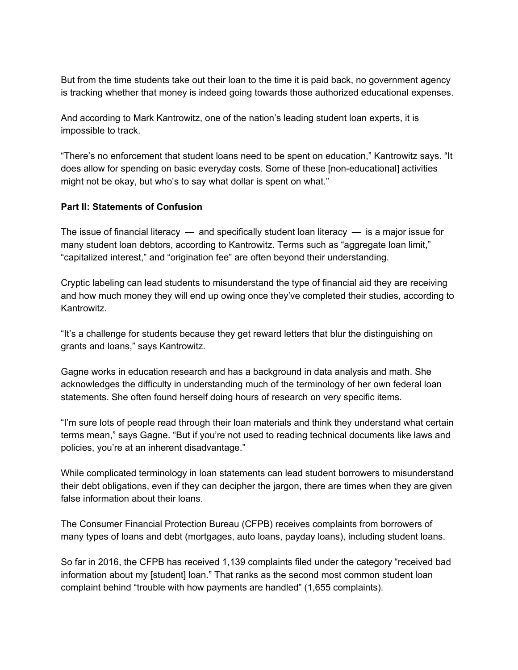But from the time students take out their loan to the time it is paid back, no government agency is tracking whether that money is indeed going towards those authorized educational expenses.

And according to Mark Kantrowitz, one of the nation's leading student loan experts, it is impossible to track.

"There's no enforcement that student loans need to be spent on education," Kantrowitz says. "It does allow for spending on basic everyday costs. Some of these [non-educational] activities might not be okay, but who's to say what dollar is spent on what."

# **Part II: Statements of Confusion**

The issue of financial literacy  $-$  and specifically student loan literacy  $-$  is a major issue for many student loan debtors, according to Kantrowitz. Terms such as "aggregate loan limit," "capitalized interest," and "origination fee" are often beyond their understanding.

Cryptic labeling can lead students to misunderstand the type of financial aid they are receiving and how much money they will end up owing once they've completed their studies, according to Kantrowitz.

"It's a challenge for students because they get reward letters that blur the distinguishing on grants and loans," says Kantrowitz.

Gagne works in education research and has a background in data analysis and math. She acknowledges the difficulty in understanding much of the terminology of her own federal loan statements. She often found herself doing hours of research on very specific items.

"I'm sure lots of people read through their loan materials and think they understand what certain terms mean," says Gagne. "But if you're not used to reading technical documents like laws and policies, you're at an inherent disadvantage."

While complicated terminology in loan statements can lead student borrowers to misunderstand their debt obligations, even if they can decipher the jargon, there are times when they are given false information about their loans.

The Consumer Financial Protection Bureau (CFPB) receives complaints from borrowers of many types of loans and debt (mortgages, auto loans, payday loans), including student loans.

So far in 2016, the CFPB has received 1,139 complaints filed under the category "received bad information about my [student] loan." That ranks as the second most common student loan complaint behind "trouble with how payments are handled" (1,655 complaints).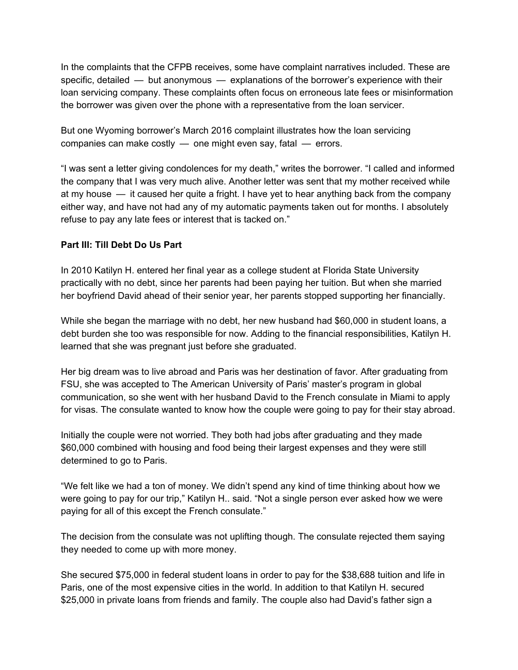In the complaints that the CFPB receives, some have complaint narratives included. These are specific, detailed — but anonymous — explanations of the borrower's experience with their loan servicing company. These complaints often focus on erroneous late fees or misinformation the borrower was given over the phone with a representative from the loan servicer.

But one Wyoming borrower's March 2016 complaint illustrates how the loan servicing companies can make costly — one might even say, fatal — errors.

"I was sent a letter giving condolences for my death," writes the borrower. "I called and informed the company that I was very much alive. Another letter was sent that my mother received while at my house — it caused her quite a fright. I have yet to hear anything back from the company either way, and have not had any of my automatic payments taken out for months. I absolutely refuse to pay any late fees or interest that is tacked on."

# **Part III: Till Debt Do Us Part**

In 2010 Katilyn H. entered her final year as a college student at Florida State University practically with no debt, since her parents had been paying her tuition. But when she married her boyfriend David ahead of their senior year, her parents stopped supporting her financially.

While she began the marriage with no debt, her new husband had \$60,000 in student loans, a debt burden she too was responsible for now. Adding to the financial responsibilities, Katilyn H. learned that she was pregnant just before she graduated.

Her big dream was to live abroad and Paris was her destination of favor. After graduating from FSU, she was accepted to The American University of Paris' master's program in global communication, so she went with her husband David to the French consulate in Miami to apply for visas. The consulate wanted to know how the couple were going to pay for their stay abroad.

Initially the couple were not worried. They both had jobs after graduating and they made \$60,000 combined with housing and food being their largest expenses and they were still determined to go to Paris.

"We felt like we had a ton of money. We didn't spend any kind of time thinking about how we were going to pay for our trip," Katilyn H.. said. "Not a single person ever asked how we were paying for all of this except the French consulate."

The decision from the consulate was not uplifting though. The consulate rejected them saying they needed to come up with more money.

She secured \$75,000 in federal student loans in order to pay for the \$38,688 tuition and life in Paris, one of the most expensive cities in the world. In addition to that Katilyn H. secured \$25,000 in private loans from friends and family. The couple also had David's father sign a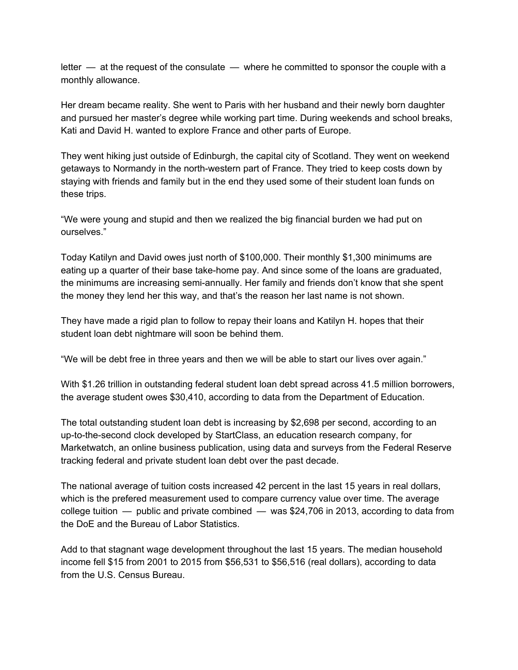letter — at the request of the consulate — where he committed to sponsor the couple with a monthly allowance.

Her dream became reality. She went to Paris with her husband and their newly born daughter and pursued her master's degree while working part time. During weekends and school breaks, Kati and David H. wanted to explore France and other parts of Europe.

They went hiking just outside of Edinburgh, the capital city of Scotland. They went on weekend getaways to Normandy in the north-western part of France. They tried to keep costs down by staying with friends and family but in the end they used some of their student loan funds on these trips.

"We were young and stupid and then we realized the big financial burden we had put on ourselves."

Today Katilyn and David owes just north of \$100,000. Their monthly \$1,300 minimums are eating up a quarter of their base take-home pay. And since some of the loans are graduated, the minimums are increasing semi-annually. Her family and friends don't know that she spent the money they lend her this way, and that's the reason her last name is not shown.

They have made a rigid plan to follow to repay their loans and Katilyn H. hopes that their student loan debt nightmare will soon be behind them.

"We will be debt free in three years and then we will be able to start our lives over again."

With \$1.26 trillion in outstanding federal student loan debt spread across 41.5 million borrowers, the average student owes \$30,410, according to data from the Department of Education.

The total outstanding student loan debt is increasing by \$2,698 per second, according to an up-to-the-second clock developed by StartClass, an education research company, for Marketwatch, an online business publication, using data and surveys from the Federal Reserve tracking federal and private student loan debt over the past decade.

The national average of tuition costs increased 42 percent in the last 15 years in real dollars, which is the prefered measurement used to compare currency value over time. The average college tuition — public and private combined — was \$24,706 in 2013, according to data from the DoE and the Bureau of Labor Statistics.

Add to that stagnant wage development throughout the last 15 years. The median household income fell \$15 from 2001 to 2015 from \$56,531 to \$56,516 (real dollars), according to data from the U.S. Census Bureau.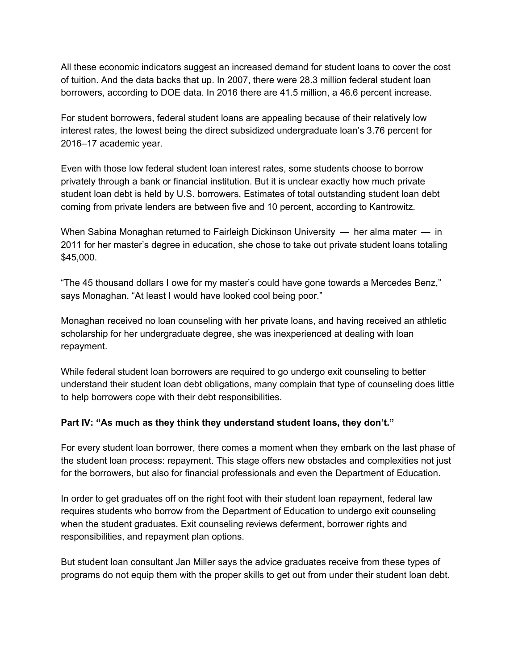All these economic indicators suggest an increased demand for student loans to cover the cost of tuition. And the data backs that up. In 2007, there were 28.3 million federal student loan borrowers, according to DOE data. In 2016 there are 41.5 million, a 46.6 percent increase.

For student borrowers, federal student loans are appealing because of their relatively low interest rates, the lowest being the direct subsidized undergraduate loan's 3.76 percent for 2016–17 academic year.

Even with those low federal student loan interest rates, some students choose to borrow privately through a bank or financial institution. But it is unclear exactly how much private student loan debt is held by U.S. borrowers. Estimates of total outstanding student loan debt coming from private lenders are between five and 10 percent, according to Kantrowitz.

When Sabina Monaghan returned to Fairleigh Dickinson University — her alma mater — in 2011 for her master's degree in education, she chose to take out private student loans totaling \$45,000.

"The 45 thousand dollars I owe for my master's could have gone towards a Mercedes Benz," says Monaghan. "At least I would have looked cool being poor."

Monaghan received no loan counseling with her private loans, and having received an athletic scholarship for her undergraduate degree, she was inexperienced at dealing with loan repayment.

While federal student loan borrowers are required to go undergo exit counseling to better understand their student loan debt obligations, many complain that type of counseling does little to help borrowers cope with their debt responsibilities.

#### **Part IV: "As much as they think they understand student loans, they don't."**

For every student loan borrower, there comes a moment when they embark on the last phase of the student loan process: repayment. This stage offers new obstacles and complexities not just for the borrowers, but also for financial professionals and even the Department of Education.

In order to get graduates off on the right foot with their student loan repayment, federal law requires students who borrow from the Department of Education to undergo exit counseling when the student graduates. Exit counseling reviews deferment, borrower rights and responsibilities, and repayment plan options.

But student loan consultant Jan Miller says the advice graduates receive from these types of programs do not equip them with the proper skills to get out from under their student loan debt.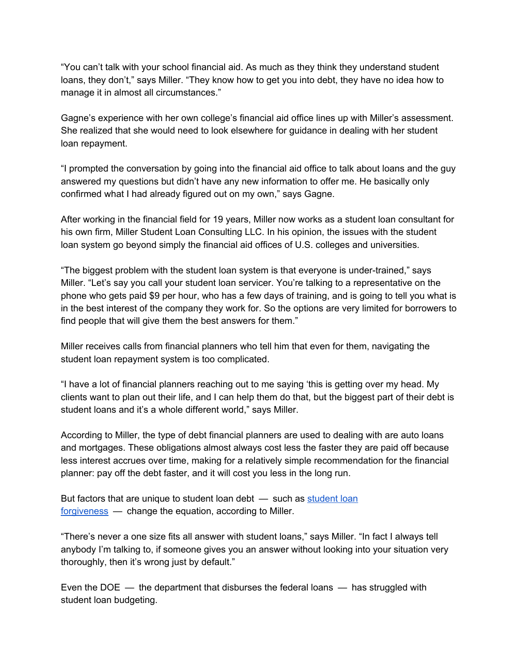"You can't talk with your school financial aid. As much as they think they understand student loans, they don't," says Miller. "They know how to get you into debt, they have no idea how to manage it in almost all circumstances."

Gagne's experience with her own college's financial aid office lines up with Miller's assessment. She realized that she would need to look elsewhere for guidance in dealing with her student loan repayment.

"I prompted the conversation by going into the financial aid office to talk about loans and the guy answered my questions but didn't have any new information to offer me. He basically only confirmed what I had already figured out on my own," says Gagne.

After working in the financial field for 19 years, Miller now works as a student loan consultant for his own firm, Miller Student Loan Consulting LLC. In his opinion, the issues with the student loan system go beyond simply the financial aid offices of U.S. colleges and universities.

"The biggest problem with the student loan system is that everyone is under-trained," says Miller. "Let's say you call your student loan servicer. You're talking to a representative on the phone who gets paid \$9 per hour, who has a few days of training, and is going to tell you what is in the best interest of the company they work for. So the options are very limited for borrowers to find people that will give them the best answers for them."

Miller receives calls from financial planners who tell him that even for them, navigating the student loan repayment system is too complicated.

"I have a lot of financial planners reaching out to me saying 'this is getting over my head. My clients want to plan out their life, and I can help them do that, but the biggest part of their debt is student loans and it's a whole different world," says Miller.

According to Miller, the type of debt financial planners are used to dealing with are auto loans and mortgages. These obligations almost always cost less the faster they are paid off because less interest accrues over time, making for a relatively simple recommendation for the financial planner: pay off the debt faster, and it will cost you less in the long run.

But factors that are unique to student loan debt — such as [student](https://medium.com/r/?url=https%3A%2F%2Fstudentaid.ed.gov%2Fsa%2Frepay-loans%2Fforgiveness-cancellation) loan [forgiveness](https://medium.com/r/?url=https%3A%2F%2Fstudentaid.ed.gov%2Fsa%2Frepay-loans%2Fforgiveness-cancellation) — change the equation, according to Miller.

"There's never a one size fits all answer with student loans," says Miller. "In fact I always tell anybody I'm talking to, if someone gives you an answer without looking into your situation very thoroughly, then it's wrong just by default."

Even the DOE  $-$  the department that disburses the federal loans  $-$  has struggled with student loan budgeting.